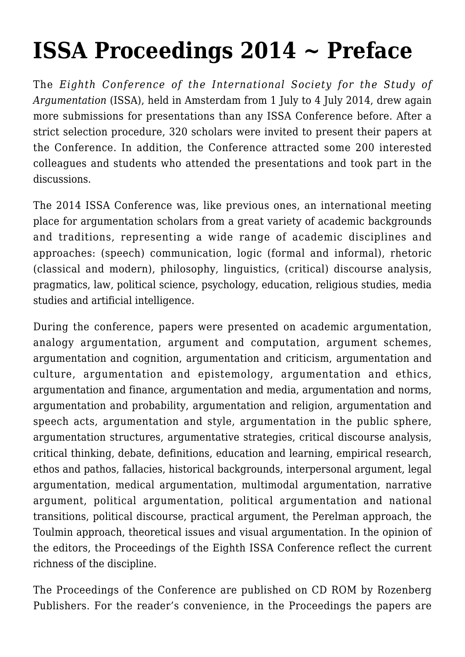## **[ISSA Proceedings 2014 ~ Preface](https://rozenbergquarterly.com/issa-proceedings-2014-preface/)**

The *Eighth Conference of the International Society for the Study of Argumentation* (ISSA), held in Amsterdam from 1 July to 4 July 2014, drew again more submissions for presentations than any ISSA Conference before. After a strict selection procedure, 320 scholars were invited to present their papers at the Conference. In addition, the Conference attracted some 200 interested colleagues and students who attended the presentations and took part in the discussions.

The 2014 ISSA Conference was, like previous ones, an international meeting place for argumentation scholars from a great variety of academic backgrounds and traditions, representing a wide range of academic disciplines and approaches: (speech) communication, logic (formal and informal), rhetoric (classical and modern), philosophy, linguistics, (critical) discourse analysis, pragmatics, law, political science, psychology, education, religious studies, media studies and artificial intelligence.

During the conference, papers were presented on academic argumentation, analogy argumentation, argument and computation, argument schemes, argumentation and cognition, argumentation and criticism, argumentation and culture, argumentation and epistemology, argumentation and ethics, argumentation and finance, argumentation and media, argumentation and norms, argumentation and probability, argumentation and religion, argumentation and speech acts, argumentation and style, argumentation in the public sphere, argumentation structures, argumentative strategies, critical discourse analysis, critical thinking, debate, definitions, education and learning, empirical research, ethos and pathos, fallacies, historical backgrounds, interpersonal argument, legal argumentation, medical argumentation, multimodal argumentation, narrative argument, political argumentation, political argumentation and national transitions, political discourse, practical argument, the Perelman approach, the Toulmin approach, theoretical issues and visual argumentation. In the opinion of the editors, the Proceedings of the Eighth ISSA Conference reflect the current richness of the discipline.

The Proceedings of the Conference are published on CD ROM by Rozenberg Publishers. For the reader's convenience, in the Proceedings the papers are